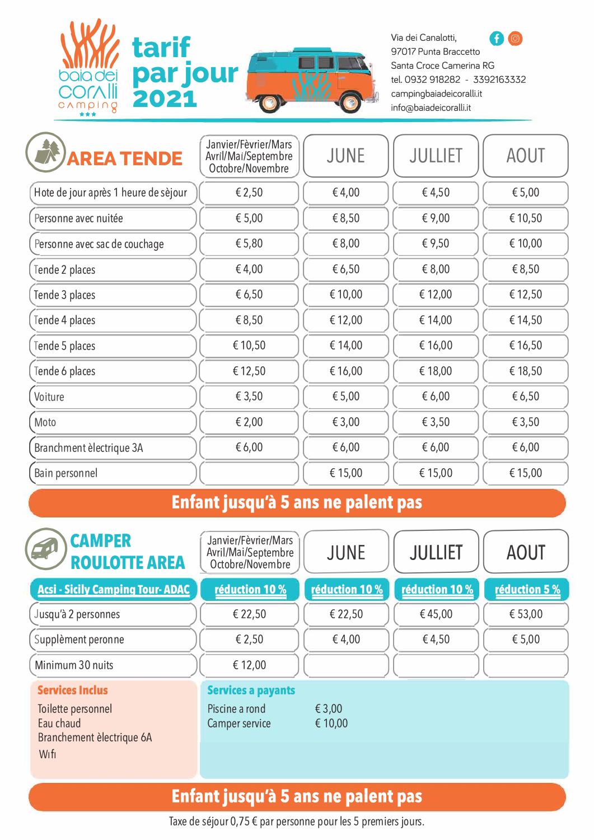

97017 Punta Braccetto Santa Croce Camerina RG

| ***<br>$\circ$                       |                                                                 |             |                |             |
|--------------------------------------|-----------------------------------------------------------------|-------------|----------------|-------------|
| <b>AREA TENDE</b>                    | Janvier/Fèvrier/Mars<br>Avril/Mai/Septembre<br>Octobre/Novembre | <b>JUNE</b> | <b>JULLIET</b> | <b>AOUT</b> |
| Hote de jour après 1 heure de sèjour | € 2,50                                                          | € 4,00      | €4,50          | € 5,00      |
| Personne avec nuitée                 | € 5,00                                                          | € 8,50      | € 9,00         | € 10,50     |
| Personne avec sac de couchage        | € 5,80                                                          | € 8,00      | € 9,50         | € 10,00     |
| Tende 2 places                       | €4,00                                                           | € 6,50      | € 8,00         | € 8,50      |
| Tende 3 places                       | € 6,50                                                          | € 10,00     | € 12,00        | € 12,50     |
| Tende 4 places                       | € 8,50                                                          | € 12,00     | € 14,00        | € 14,50     |
| Tende 5 places                       | € 10,50                                                         | € 14,00     | € 16,00        | € 16,50     |
| Tende 6 places                       | € 12,50                                                         | € 16,00     | € 18,00        | € 18,50     |
| Voiture                              | € 3,50                                                          | € 5,00      | € 6,00         | € 6,50      |
| Moto                                 | € 2,00                                                          | € 3,00      | € 3,50         | € 3,50      |
| Branchment èlectrique 3A             | €6,00                                                           | € 6,00      | € 6,00         | € 6,00      |
| Bain personnel                       |                                                                 | € 15,00     | € 15,00        | € 15,00     |
|                                      | - -                                                             |             |                |             |

#### **Enfant jusqu'à 5 ans ne palent pas**

| <b>CAMPER</b><br><b>ROULOTTE AREA</b>                                                          | Janvier/Fèvrier/Mars<br>Avril/Mai/Septembre<br>Octobre/Novembre | <b>JUNE</b>       | <b>JULLIET</b> | <b>AOUT</b>   |
|------------------------------------------------------------------------------------------------|-----------------------------------------------------------------|-------------------|----------------|---------------|
| <b>Acsi - Sicily Camping Tour-ADAC</b>                                                         | réduction 10 %                                                  | réduction 10 %    | réduction 10 % | réduction 5 % |
| Jusqu'à 2 personnes                                                                            | € 22,50                                                         | € 22,50           | €45,00         | € 53,00       |
| Supplèment peronne                                                                             | € 2,50                                                          | €4,00             | €4,50          | € 5,00        |
| Minimum 30 nuits                                                                               | € 12,00                                                         |                   |                |               |
| <b>Services Inclus</b><br>Toilette personnel<br>Eau chaud<br>Branchement èlectrique 6A<br>Wifi | <b>Services a payants</b><br>Piscine a rond<br>Camper service   | € 3,00<br>€ 10,00 |                |               |

# **Enfant jusqu'à 5 ans ne palent pas**

Taxe de séjour 0,75 € par personne pour les 5 premiers jours.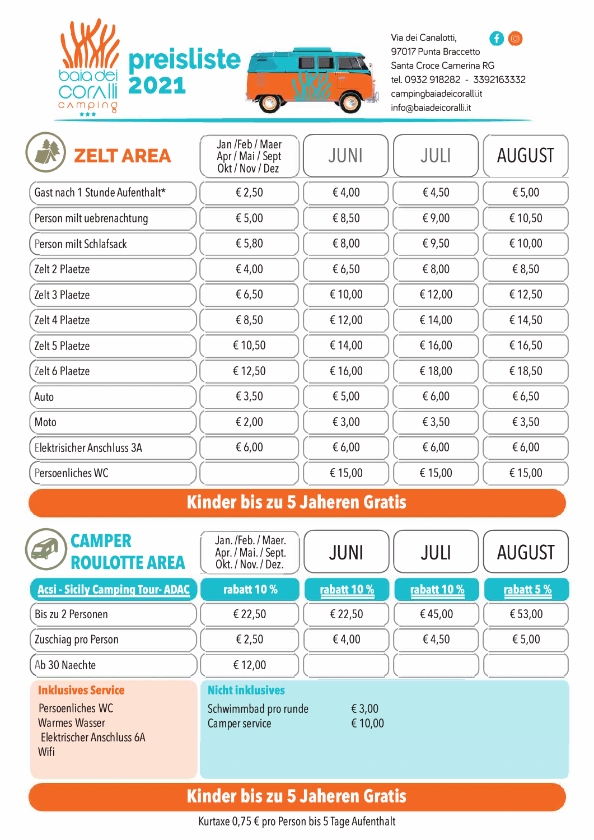

Via dei Canalotti,<br>**97017 Punta Braccetto** Santa Croce Camerina RG tel. 0932 918282 - 3392163332 campingbaiadeicoralli.it info@baiadeicoralli.it

| <b>ZELT AREA</b>               | Jan /Feb / Maer<br>Apr / Mai / Sept<br>Okt / Nov / Dez | <b>JUNI</b> | JULI    | <b>AUGUST</b> |
|--------------------------------|--------------------------------------------------------|-------------|---------|---------------|
| Gast nach 1 Stunde Aufenthalt* | € 2,50                                                 | €4,00       | €4,50   | € 5,00        |
| Person milt uebrenachtung      | € 5,00                                                 | € 8,50      | € 9,00  | € 10,50       |
| Person milt Schlafsack         | € 5,80                                                 | € 8,00      | € 9,50  | € 10,00       |
| Zelt 2 Plaetze                 | €4,00                                                  | € 6,50      | € 8,00  | € 8,50        |
| Zelt 3 Plaetze                 | €6,50                                                  | € 10,00     | € 12,00 | € 12,50       |
| Zelt 4 Plaetze                 | € 8,50                                                 | € 12,00     | € 14,00 | € 14,50       |
| Zelt 5 Plaetze                 | € 10,50                                                | € 14,00     | € 16,00 | € 16,50       |
| Zelt 6 Plaetze                 | € 12,50                                                | €16,00      | € 18,00 | € 18,50       |
| Auto                           | € 3,50                                                 | € 5,00      | € 6,00  | € 6,50        |
| Moto                           | € 2,00                                                 | € 3,00      | € 3,50  | € 3,50        |
| Elektrisicher Anschluss 3A     | € 6,00                                                 | € 6,00      | € 6,00  | € 6,00        |
| Persoenliches WC               |                                                        | € 15,00     | € 15,00 | € 15,00       |

## **Kinder bis zu 5 Jaheren Gratis**

| <b>CAMPER</b><br><b>ROULOTTE AREA</b>                                                                      | Jan. /Feb. / Maer.<br>Apr. / Mai. / Sept.<br>Okt. / Nov. / Dez.   | <b>JUNI</b>       | JULI        | <b>AUGUST</b> |
|------------------------------------------------------------------------------------------------------------|-------------------------------------------------------------------|-------------------|-------------|---------------|
| <b>Acsi - Sicily Camping Tour-ADAC</b>                                                                     | rabatt 10 %                                                       | rabatt 10 %       | rabatt 10 % | rabatt 5 %    |
| Bis zu 2 Personen                                                                                          | € 22,50                                                           | € 22,50           | €45,00      | € 53,00       |
| Zuschiag pro Person                                                                                        | € 2,50                                                            | €4,00             | €4,50       | € 5,00        |
| Ab 30 Naechte                                                                                              | € 12,00                                                           |                   |             |               |
| <b>Inklusives Service</b><br>Persoenliches WC<br><b>Warmes Wasser</b><br>Elektrischer Anschluss 6A<br>Wifi | <b>Nicht inklusives</b><br>Schwimmbad pro runde<br>Camper service | € 3,00<br>€ 10,00 |             |               |

## **Kinder bis zu 5 Jaheren Gratis**

Kurtaxe 0,75 € pro Person bis 5 Tage Aufenthalt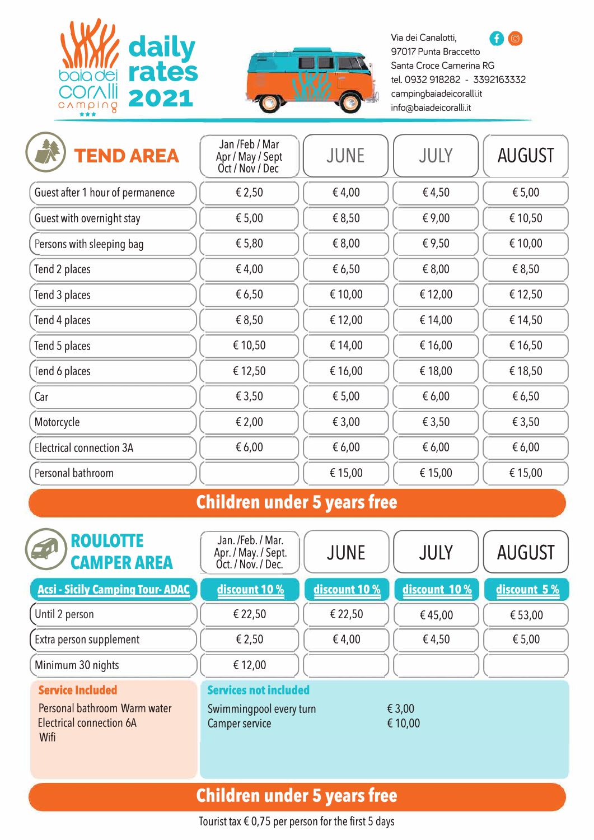



97017 Punta Braccetto Santa Croce Camerina RG info@baiadeicoralli.it

| <b>TEND AREA</b>                 | Jan /Feb / Mar<br>Apr / May / Sept<br>Oct / Nov / Dec | <b>JUNE</b> | JULY    | <b>AUGUST</b> |
|----------------------------------|-------------------------------------------------------|-------------|---------|---------------|
| Guest after 1 hour of permanence | € 2,50                                                | € 4,00      | €4,50   | € 5,00        |
| Guest with overnight stay        | € 5,00                                                | € 8,50      | € 9,00  | € 10,50       |
| Persons with sleeping bag        | € 5,80                                                | € 8,00      | € 9,50  | € 10,00       |
| Tend 2 places                    | €4,00                                                 | € 6,50      | € 8,00  | € 8,50        |
| Tend 3 places                    | €6,50                                                 | € 10,00     | € 12,00 | € 12,50       |
| Tend 4 places                    | € 8,50                                                | € 12,00     | € 14,00 | € 14,50       |
| Tend 5 places                    | € 10,50                                               | € 14,00     | € 16,00 | € 16,50       |
| Tend 6 places                    | € 12,50                                               | €16,00      | € 18,00 | € 18,50       |
| Car                              | € 3,50                                                | € 5,00      | € 6,00  | €6,50         |
| Motorcycle                       | € 2,00                                                | € 3,00      | € 3,50  | € 3,50        |
| <b>Electrical connection 3A</b>  | € 6,00                                                | € 6,00      | € 6,00  | € 6,00        |
| Personal bathroom                |                                                       | € 15,00     | € 15,00 | € 15,00       |

#### **Children under 5 years free**

| <b>ROULOTTE</b><br>EU<br><b>CAMPER AREA</b>                                                        | Jan. /Feb. / Mar.<br>Apr. / May. / Sept.<br>Oct. / Nov. / Dec.            | <b>JUNE</b>   | JULY              | <b>AUGUST</b> |
|----------------------------------------------------------------------------------------------------|---------------------------------------------------------------------------|---------------|-------------------|---------------|
| <b>Acsi - Sicily Camping Tour-ADAC</b>                                                             | discount 10 %                                                             | discount 10 % | discount 10 %     | discount 5 %  |
| Until 2 person                                                                                     | € 22,50                                                                   | € 22,50       | €45,00            | €53,00        |
| Extra person supplement                                                                            | € 2,50                                                                    | € 4,00        | €4,50             | € 5,00        |
| Minimum 30 nights                                                                                  | € 12,00                                                                   |               |                   |               |
| <b>Service Included</b><br>Personal bathroom Warm water<br><b>Electrical connection 6A</b><br>Wifi | <b>Services not included</b><br>Swimmingpool every turn<br>Camper service |               | € 3,00<br>€ 10,00 |               |

# **Children under 5 years free**

Tourist tax  $\epsilon$  0,75 per person for the first 5 days